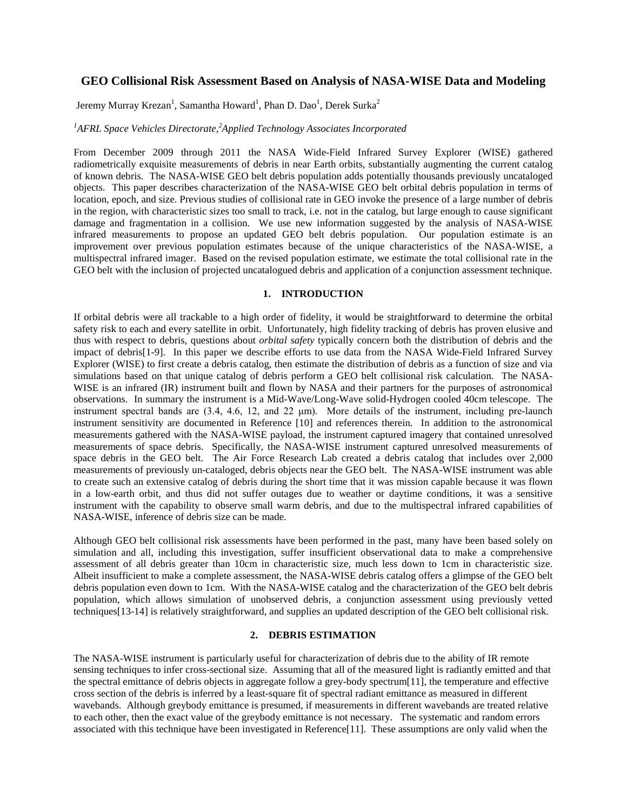# **GEO Collisional Risk Assessment Based on Analysis of NASA-WISE Data and Modeling**

Jeremy Murray Krezan<sup>1</sup>, Samantha Howard<sup>1</sup>, Phan D. Dao<sup>1</sup>, Derek Surka<sup>2</sup>

## <sup>1</sup>AFRL Space Vehicles Directorate,<sup>2</sup> Applied Technology Associates Incorporated

From December 2009 through 2011 the NASA Wide-Field Infrared Survey Explorer (WISE) gathered radiometrically exquisite measurements of debris in near Earth orbits, substantially augmenting the current catalog of known debris. The NASA-WISE GEO belt debris population adds potentially thousands previously uncataloged objects. This paper describes characterization of the NASA-WISE GEO belt orbital debris population in terms of location, epoch, and size. Previous studies of collisional rate in GEO invoke the presence of a large number of debris in the region, with characteristic sizes too small to track, i.e. not in the catalog, but large enough to cause significant damage and fragmentation in a collision. We use new information suggested by the analysis of NASA-WISE infrared measurements to propose an updated GEO belt debris population. Our population estimate is an improvement over previous population estimates because of the unique characteristics of the NASA-WISE, a multispectral infrared imager. Based on the revised population estimate, we estimate the total collisional rate in the GEO belt with the inclusion of projected uncatalogued debris and application of a conjunction assessment technique.

### **1. INTRODUCTION**

If orbital debris were all trackable to a high order of fidelity, it would be straightforward to determine the orbital safety risk to each and every satellite in orbit. Unfortunately, high fidelity tracking of debris has proven elusive and thus with respect to debris, questions about *orbital safety* typically concern both the distribution of debris and the impact of debris[1-9]. In this paper we describe efforts to use data from the NASA Wide-Field Infrared Survey Explorer (WISE) to first create a debris catalog, then estimate the distribution of debris as a function of size and via simulations based on that unique catalog of debris perform a GEO belt collisional risk calculation. The NASA-WISE is an infrared (IR) instrument built and flown by NASA and their partners for the purposes of astronomical observations. In summary the instrument is a Mid-Wave/Long-Wave solid-Hydrogen cooled 40cm telescope. The instrument spectral bands are (3.4, 4.6, 12, and 22 μm). More details of the instrument, including pre-launch instrument sensitivity are documented in Reference [10] and references therein. In addition to the astronomical measurements gathered with the NASA-WISE payload, the instrument captured imagery that contained unresolved measurements of space debris. Specifically, the NASA-WISE instrument captured unresolved measurements of space debris in the GEO belt. The Air Force Research Lab created a debris catalog that includes over 2,000 measurements of previously un-cataloged, debris objects near the GEO belt. The NASA-WISE instrument was able to create such an extensive catalog of debris during the short time that it was mission capable because it was flown in a low-earth orbit, and thus did not suffer outages due to weather or daytime conditions, it was a sensitive instrument with the capability to observe small warm debris, and due to the multispectral infrared capabilities of NASA-WISE, inference of debris size can be made.

Although GEO belt collisional risk assessments have been performed in the past, many have been based solely on simulation and all, including this investigation, suffer insufficient observational data to make a comprehensive assessment of all debris greater than 10cm in characteristic size, much less down to 1cm in characteristic size. Albeit insufficient to make a complete assessment, the NASA-WISE debris catalog offers a glimpse of the GEO belt debris population even down to 1cm. With the NASA-WISE catalog and the characterization of the GEO belt debris population, which allows simulation of unobserved debris, a conjunction assessment using previously vetted techniques[13-14] is relatively straightforward, and supplies an updated description of the GEO belt collisional risk.

### **2. DEBRIS ESTIMATION**

The NASA-WISE instrument is particularly useful for characterization of debris due to the ability of IR remote sensing techniques to infer cross-sectional size. Assuming that all of the measured light is radiantly emitted and that the spectral emittance of debris objects in aggregate follow a grey-body spectrum[11], the temperature and effective cross section of the debris is inferred by a least-square fit of spectral radiant emittance as measured in different wavebands. Although greybody emittance is presumed, if measurements in different wavebands are treated relative to each other, then the exact value of the greybody emittance is not necessary. The systematic and random errors associated with this technique have been investigated in Reference[11]. These assumptions are only valid when the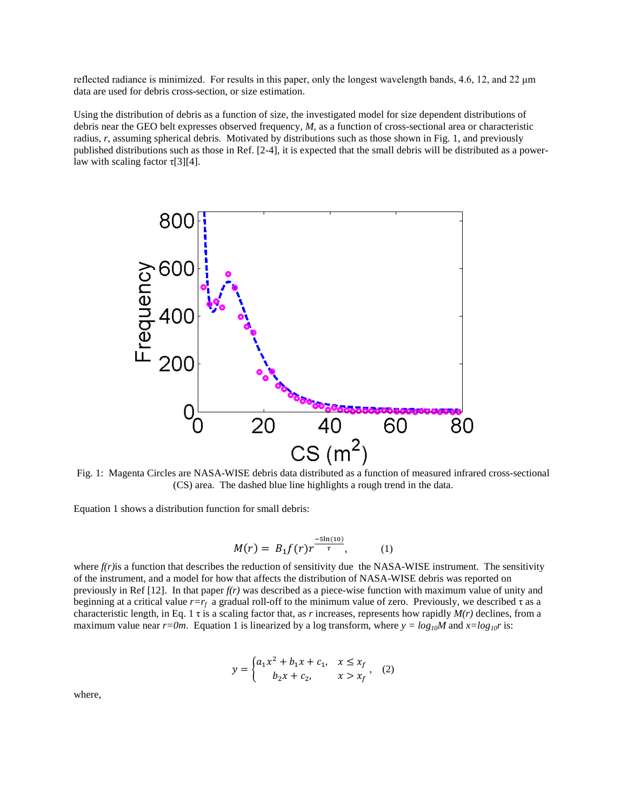reflected radiance is minimized. For results in this paper, only the longest wavelength bands, 4.6, 12, and 22 μm data are used for debris cross-section, or size estimation.

Using the distribution of debris as a function of size, the investigated model for size dependent distributions of debris near the GEO belt expresses observed frequency, *M*, as a function of cross-sectional area or characteristic radius, *r*, assuming spherical debris. Motivated by distributions such as those shown in Fig. 1, and previously published distributions such as those in Ref. [2-4], it is expected that the small debris will be distributed as a powerlaw with scaling factor  $\tau$ [3][4].



Fig. 1: Magenta Circles are NASA-WISE debris data distributed as a function of measured infrared cross-sectional (CS) area. The dashed blue line highlights a rough trend in the data.

Equation 1 shows a distribution function for small debris:

$$
M(r) = B_1 f(r) r^{\frac{-5\ln(10)}{\tau}}, \tag{1}
$$

where  $f(r)$  is a function that describes the reduction of sensitivity due the NASA-WISE instrument. The sensitivity of the instrument, and a model for how that affects the distribution of NASA-WISE debris was reported on previously in Ref [12]. In that paper *f(r)* was described as a piece-wise function with maximum value of unity and beginning at a critical value *r=rf* a gradual roll-off to the minimum value of zero. Previously, we described τ as a characteristic length, in Eq. 1 τ is a scaling factor that, as *r* increases, represents how rapidly *M(r)* declines, from a maximum value near  $r=0m$ . Equation 1 is linearized by a log transform, where  $y = log_{10}M$  and  $x=log_{10}r$  is:

$$
y = \begin{cases} a_1 x^2 + b_1 x + c_1, & x \le x_f \\ b_2 x + c_2, & x > x_f \end{cases}
$$
 (2)

where,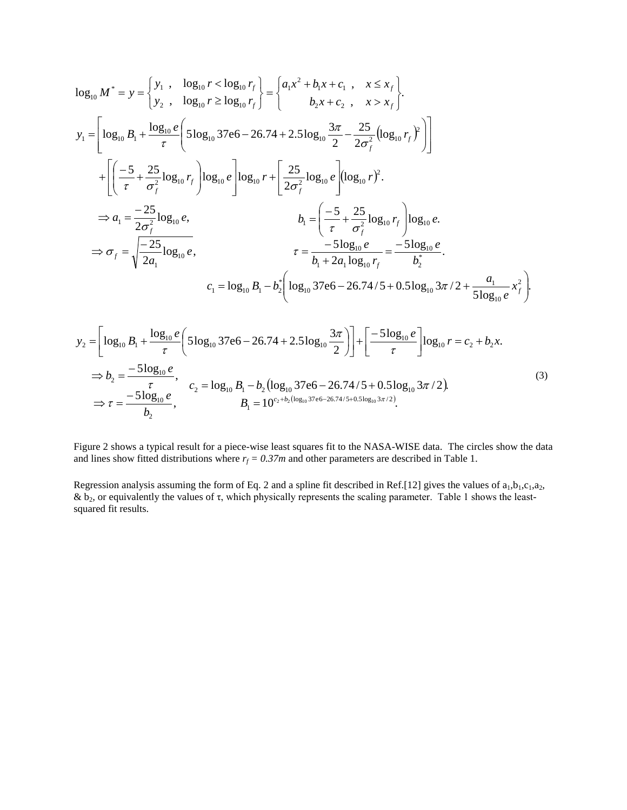$$
\log_{10} M^* = y = \begin{cases} y_1, & \log_{10} r < \log_{10} r_f \\ y_2, & \log_{10} r \ge \log_{10} r_f \end{cases} = \begin{cases} a_1 x^2 + b_1 x + c_1, & x \le x_f \\ b_2 x + c_2, & x > x_f \end{cases}.
$$
\n
$$
y_1 = \begin{bmatrix} \log_{10} B_1 + \frac{\log_{10} e}{\tau} \left( 5 \log_{10} 37 e6 - 26.74 + 2.5 \log_{10} \frac{3\pi}{2} - \frac{25}{2\sigma_f^2} (\log_{10} r_f)^2 \right) \end{bmatrix}
$$
\n
$$
+ \begin{bmatrix} \left( -\frac{5}{\tau} + \frac{25}{\sigma_f^2} \log_{10} r_f \right) \log_{10} e \end{bmatrix} \log_{10} e \begin{bmatrix} \log_{10} r + \frac{25}{2\sigma_f^2} \log_{10} e \end{bmatrix} (\log_{10} r)^2.
$$
\n
$$
\Rightarrow a_1 = \frac{-25}{2\sigma_f^2} \log_{10} e, \qquad b_1 = \begin{bmatrix} -\frac{5}{\tau} + \frac{25}{\sigma_f^2} \log_{10} r_f \end{bmatrix} \log_{10} e.
$$
\n
$$
\Rightarrow \sigma_f = \sqrt{\frac{-25}{2a_1} \log_{10} e}, \qquad \tau = \frac{-5 \log_{10} e}{b_1 + 2a_1 \log_{10} r_f} = \frac{-5 \log_{10} e}{b_2^*}.
$$
\n
$$
c_1 = \log_{10} B_1 - b_2^* \left( \log_{10} 37 e6 - 26.74 / 5 + 0.5 \log_{10} 3\pi / 2 + \frac{a_1}{5 \log_{10} e} x_f^2 \right).
$$

$$
y_2 = \left[ \log_{10} B_1 + \frac{\log_{10} e}{\tau} \left( 5 \log_{10} 37e6 - 26.74 + 2.5 \log_{10} \frac{3\pi}{2} \right) \right] + \left[ \frac{-5 \log_{10} e}{\tau} \right] \log_{10} r = c_2 + b_2 x.
$$
  
\n
$$
\Rightarrow b_2 = \frac{-5 \log_{10} e}{\tau}, \qquad c_2 = \log_{10} B_1 - b_2 \left( \log_{10} 37e6 - 26.74/5 + 0.5 \log_{10} 3\pi / 2 \right).
$$
  
\n
$$
\Rightarrow \tau = \frac{-5 \log_{10} e}{b_2}, \qquad B_1 = 10^{c_2 + b_2 \left( \log_{10} 37e6 - 26.74/5 + 0.5 \log_{10} 3\pi / 2 \right)}.
$$
  
\n(3)

Figure 2 shows a typical result for a piece-wise least squares fit to the NASA-WISE data. The circles show the data and lines show fitted distributions where  $r_f = 0.37m$  and other parameters are described in Table 1.

Regression analysis assuming the form of Eq. 2 and a spline fit described in Ref.[12] gives the values of  $a_1,b_1,c_1,a_2$ , &  $b_2$ , or equivalently the values of τ, which physically represents the scaling parameter. Table 1 shows the leastsquared fit results.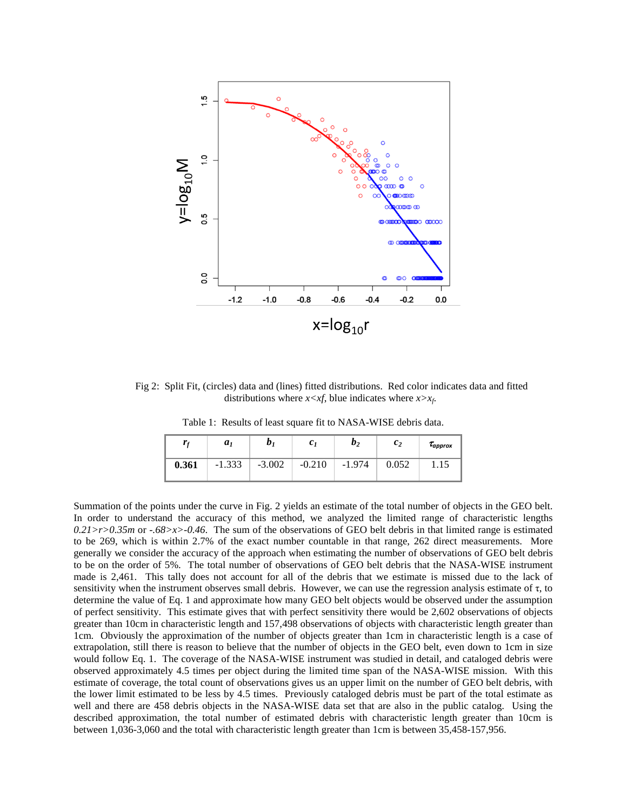

Fig 2: Split Fit, (circles) data and (lines) fitted distributions. Red color indicates data and fitted distributions where  $x < xf$ , blue indicates where  $x > x_f$ .

Table 1: Results of least square fit to NASA-WISE debris data.

|       | a <sub>1</sub> | $\bm{b}$ | c <sub>1</sub> | b <sub>2</sub> | $\mathfrak{c}_2$ | $\tau_{\it approx}$ |
|-------|----------------|----------|----------------|----------------|------------------|---------------------|
| 0.361 | $-1.333$       | $-3.002$ | $-0.210$       | $-1.974$       | 0.052            | 1.15                |

Summation of the points under the curve in Fig. 2 yields an estimate of the total number of objects in the GEO belt. In order to understand the accuracy of this method, we analyzed the limited range of characteristic lengths  $0.21$ *r* $>0.35$ *m* or  $.68$  $>$ *x* $>0.46$ . The sum of the observations of GEO belt debris in that limited range is estimated to be 269, which is within 2.7% of the exact number countable in that range, 262 direct measurements. More generally we consider the accuracy of the approach when estimating the number of observations of GEO belt debris to be on the order of 5%. The total number of observations of GEO belt debris that the NASA-WISE instrument made is 2,461. This tally does not account for all of the debris that we estimate is missed due to the lack of sensitivity when the instrument observes small debris. However, we can use the regression analysis estimate of  $\tau$ , to determine the value of Eq. 1 and approximate how many GEO belt objects would be observed under the assumption of perfect sensitivity. This estimate gives that with perfect sensitivity there would be 2,602 observations of objects greater than 10cm in characteristic length and 157,498 observations of objects with characteristic length greater than 1cm. Obviously the approximation of the number of objects greater than 1cm in characteristic length is a case of extrapolation, still there is reason to believe that the number of objects in the GEO belt, even down to 1cm in size would follow Eq. 1. The coverage of the NASA-WISE instrument was studied in detail, and cataloged debris were observed approximately 4.5 times per object during the limited time span of the NASA-WISE mission. With this estimate of coverage, the total count of observations gives us an upper limit on the number of GEO belt debris, with the lower limit estimated to be less by 4.5 times. Previously cataloged debris must be part of the total estimate as well and there are 458 debris objects in the NASA-WISE data set that are also in the public catalog. Using the described approximation, the total number of estimated debris with characteristic length greater than 10cm is between 1,036-3,060 and the total with characteristic length greater than 1cm is between 35,458-157,956.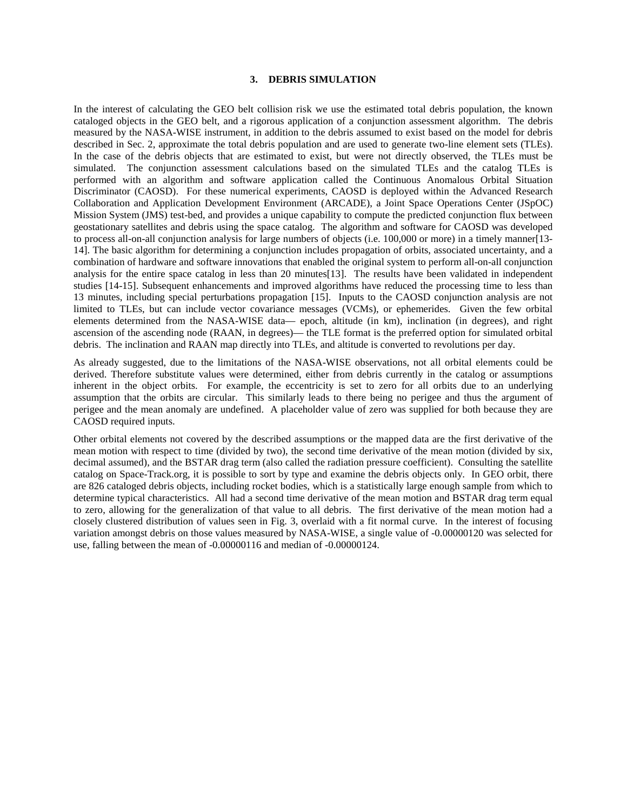### **3. DEBRIS SIMULATION**

In the interest of calculating the GEO belt collision risk we use the estimated total debris population, the known cataloged objects in the GEO belt, and a rigorous application of a conjunction assessment algorithm. The debris measured by the NASA-WISE instrument, in addition to the debris assumed to exist based on the model for debris described in Sec. 2, approximate the total debris population and are used to generate two-line element sets (TLEs). In the case of the debris objects that are estimated to exist, but were not directly observed, the TLEs must be simulated. The conjunction assessment calculations based on the simulated TLEs and the catalog TLEs is performed with an algorithm and software application called the Continuous Anomalous Orbital Situation Discriminator (CAOSD). For these numerical experiments, CAOSD is deployed within the Advanced Research Collaboration and Application Development Environment (ARCADE), a Joint Space Operations Center (JSpOC) Mission System (JMS) test-bed, and provides a unique capability to compute the predicted conjunction flux between geostationary satellites and debris using the space catalog. The algorithm and software for CAOSD was developed to process all-on-all conjunction analysis for large numbers of objects (i.e. 100,000 or more) in a timely manner[13- 14]. The basic algorithm for determining a conjunction includes propagation of orbits, associated uncertainty, and a combination of hardware and software innovations that enabled the original system to perform all-on-all conjunction analysis for the entire space catalog in less than 20 minutes[13]. The results have been validated in independent studies [14-15]. Subsequent enhancements and improved algorithms have reduced the processing time to less than 13 minutes, including special perturbations propagation [15]. Inputs to the CAOSD conjunction analysis are not limited to TLEs, but can include vector covariance messages (VCMs), or ephemerides. Given the few orbital elements determined from the NASA-WISE data— epoch, altitude (in km), inclination (in degrees), and right ascension of the ascending node (RAAN, in degrees)— the TLE format is the preferred option for simulated orbital debris. The inclination and RAAN map directly into TLEs, and altitude is converted to revolutions per day.

As already suggested, due to the limitations of the NASA-WISE observations, not all orbital elements could be derived. Therefore substitute values were determined, either from debris currently in the catalog or assumptions inherent in the object orbits. For example, the eccentricity is set to zero for all orbits due to an underlying assumption that the orbits are circular. This similarly leads to there being no perigee and thus the argument of perigee and the mean anomaly are undefined. A placeholder value of zero was supplied for both because they are CAOSD required inputs.

Other orbital elements not covered by the described assumptions or the mapped data are the first derivative of the mean motion with respect to time (divided by two), the second time derivative of the mean motion (divided by six, decimal assumed), and the BSTAR drag term (also called the radiation pressure coefficient). Consulting the satellite catalog on Space-Track.org, it is possible to sort by type and examine the debris objects only. In GEO orbit, there are 826 cataloged debris objects, including rocket bodies, which is a statistically large enough sample from which to determine typical characteristics. All had a second time derivative of the mean motion and BSTAR drag term equal to zero, allowing for the generalization of that value to all debris. The first derivative of the mean motion had a closely clustered distribution of values seen in Fig. 3, overlaid with a fit normal curve. In the interest of focusing variation amongst debris on those values measured by NASA-WISE, a single value of -0.00000120 was selected for use, falling between the mean of -0.00000116 and median of -0.00000124.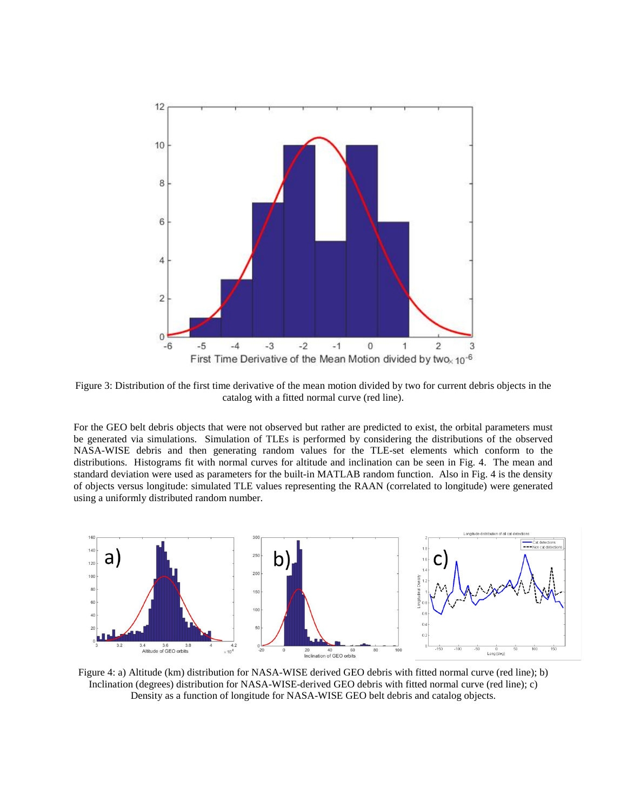

Figure 3: Distribution of the first time derivative of the mean motion divided by two for current debris objects in the catalog with a fitted normal curve (red line).

For the GEO belt debris objects that were not observed but rather are predicted to exist, the orbital parameters must be generated via simulations. Simulation of TLEs is performed by considering the distributions of the observed NASA-WISE debris and then generating random values for the TLE-set elements which conform to the distributions. Histograms fit with normal curves for altitude and inclination can be seen in Fig. 4. The mean and standard deviation were used as parameters for the built-in MATLAB random function. Also in Fig. 4 is the density of objects versus longitude: simulated TLE values representing the RAAN (correlated to longitude) were generated using a uniformly distributed random number.



Figure 4: a) Altitude (km) distribution for NASA-WISE derived GEO debris with fitted normal curve (red line); b) Inclination (degrees) distribution for NASA-WISE-derived GEO debris with fitted normal curve (red line); c) Density as a function of longitude for NASA-WISE GEO belt debris and catalog objects.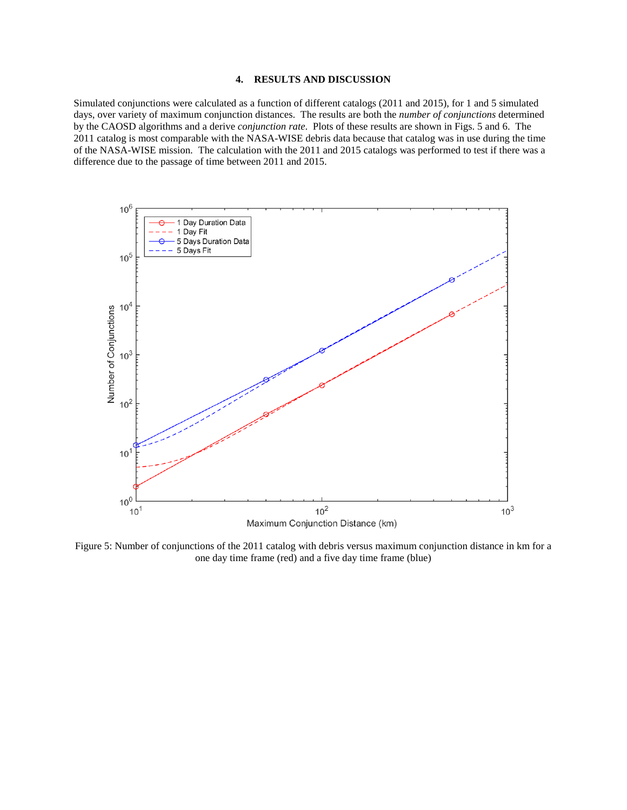### **4. RESULTS AND DISCUSSION**

Simulated conjunctions were calculated as a function of different catalogs (2011 and 2015), for 1 and 5 simulated days, over variety of maximum conjunction distances. The results are both the *number of conjunctions* determined by the CAOSD algorithms and a derive *conjunction rate*. Plots of these results are shown in Figs. 5 and 6. The 2011 catalog is most comparable with the NASA-WISE debris data because that catalog was in use during the time of the NASA-WISE mission. The calculation with the 2011 and 2015 catalogs was performed to test if there was a difference due to the passage of time between 2011 and 2015.



Figure 5: Number of conjunctions of the 2011 catalog with debris versus maximum conjunction distance in km for a one day time frame (red) and a five day time frame (blue)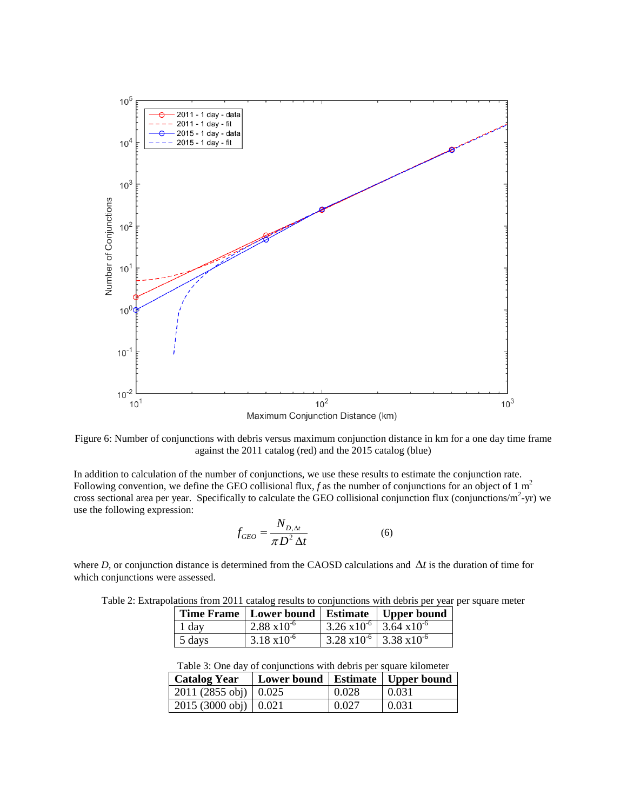

Figure 6: Number of conjunctions with debris versus maximum conjunction distance in km for a one day time frame against the 2011 catalog (red) and the 2015 catalog (blue)

In addition to calculation of the number of conjunctions, we use these results to estimate the conjunction rate. Following convention, we define the GEO collisional flux,  $f$  as the number of conjunctions for an object of 1 m<sup>2</sup> cross sectional area per year. Specifically to calculate the GEO collisional conjunction flux (conjunctions/ $m^2$ -yr) we use the following expression:

$$
f_{GEO} = \frac{N_{D,\Delta t}}{\pi D^2 \Delta t} \tag{6}
$$

where *D*, or conjunction distance is determined from the CAOSD calculations and ∆*t* is the duration of time for which conjunctions were assessed.

|        | Time Frame   Lower bound   Estimate   Upper bound |                                                     |  |
|--------|---------------------------------------------------|-----------------------------------------------------|--|
| 1 day  | $2.88 \times 10^{-6}$                             | $\frac{3.26 \times 10^{-6}}{3.64 \times 10^{-6}}$   |  |
| 5 days | $3.18 \times 10^{-6}$                             | $\sqrt{3.28 \times 10^{-6}}$ 3.38 x10 <sup>-6</sup> |  |

Table 2: Extrapolations from 2011 catalog results to conjunctions with debris per year per square meter

|  | Table 3: One day of conjunctions with debris per square kilometer |  |
|--|-------------------------------------------------------------------|--|
|  |                                                                   |  |

| <b>Catalog Year</b>                 | Lower bound   Estimate   Upper bound |       |       |
|-------------------------------------|--------------------------------------|-------|-------|
| $2011(2855 \text{ obj}) \mid 0.025$ |                                      | 0.028 | 0.031 |
| $2015(3000 \text{ obj}) \mid 0.021$ |                                      | 0.027 | 0.031 |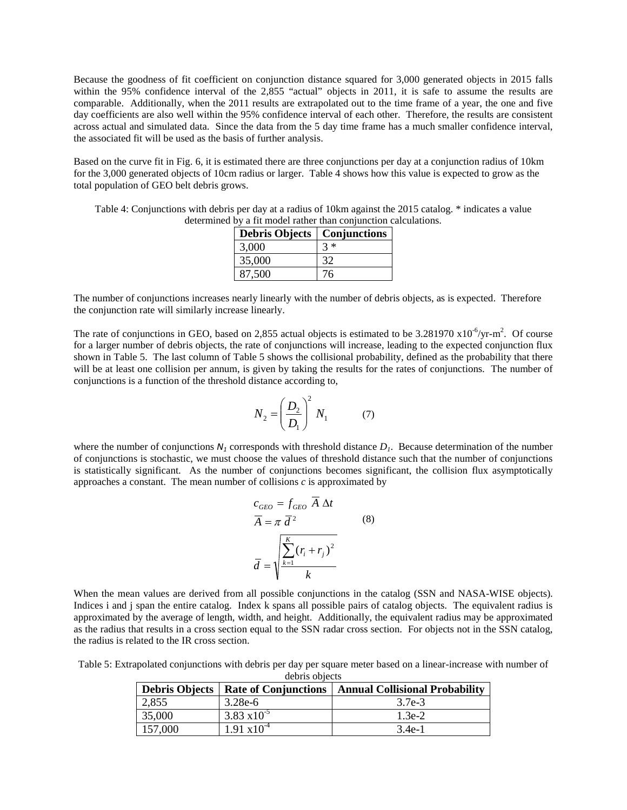Because the goodness of fit coefficient on conjunction distance squared for 3,000 generated objects in 2015 falls within the 95% confidence interval of the 2,855 "actual" objects in 2011, it is safe to assume the results are comparable. Additionally, when the 2011 results are extrapolated out to the time frame of a year, the one and five day coefficients are also well within the 95% confidence interval of each other. Therefore, the results are consistent across actual and simulated data. Since the data from the 5 day time frame has a much smaller confidence interval, the associated fit will be used as the basis of further analysis.

Based on the curve fit in Fig. 6, it is estimated there are three conjunctions per day at a conjunction radius of 10km for the 3,000 generated objects of 10cm radius or larger. Table 4 shows how this value is expected to grow as the total population of GEO belt debris grows.

Table 4: Conjunctions with debris per day at a radius of 10km against the 2015 catalog. \* indicates a value determined by a fit model rather than conjunction calculations.

| <b>Debris Objects</b> | Conjunctions |
|-----------------------|--------------|
| 3,000                 | $3 *$        |
| 35,000                | 32           |
| 87,500                | 76           |

The number of conjunctions increases nearly linearly with the number of debris objects, as is expected. Therefore the conjunction rate will similarly increase linearly.

The rate of conjunctions in GEO, based on 2,855 actual objects is estimated to be 3.281970  $x10^{-6}/yr$ -m<sup>2</sup>. Of course for a larger number of debris objects, the rate of conjunctions will increase, leading to the expected conjunction flux shown in Table 5. The last column of Table 5 shows the collisional probability, defined as the probability that there will be at least one collision per annum, is given by taking the results for the rates of conjunctions. The number of conjunctions is a function of the threshold distance according to,

$$
N_2 = \left(\frac{D_2}{D_1}\right)^2 N_1 \tag{7}
$$

where the number of conjunctions  $N_1$  corresponds with threshold distance  $D_1$ . Because determination of the number of conjunctions is stochastic, we must choose the values of threshold distance such that the number of conjunctions is statistically significant. As the number of conjunctions becomes significant, the collision flux asymptotically approaches a constant. The mean number of collisions *c* is approximated by

$$
c_{GEO} = f_{GEO} \overline{A} \Delta t
$$
  
\n
$$
\overline{A} = \pi \overline{d}^2
$$
 (8)  
\n
$$
\overline{d} = \sqrt{\frac{\sum_{k=1}^{K} (r_i + r_j)^2}{k}}
$$

When the mean values are derived from all possible conjunctions in the catalog (SSN and NASA-WISE objects). Indices i and j span the entire catalog. Index k spans all possible pairs of catalog objects. The equivalent radius is approximated by the average of length, width, and height. Additionally, the equivalent radius may be approximated as the radius that results in a cross section equal to the SSN radar cross section. For objects not in the SSN catalog, the radius is related to the IR cross section.

Table 5: Extrapolated conjunctions with debris per day per square meter based on a linear-increase with number of debris objects

| <b>Debris Objects</b> |                       | <b>Rate of Conjunctions   Annual Collisional Probability</b> |
|-----------------------|-----------------------|--------------------------------------------------------------|
| 2,855                 | $3.28e-6$             | 3.7e-3                                                       |
| 35,000                | $3.83 \times 10^{-5}$ | $1.3e-2$                                                     |
| 157,000               | $1.91 \times 10^{-4}$ | 3.4e-1                                                       |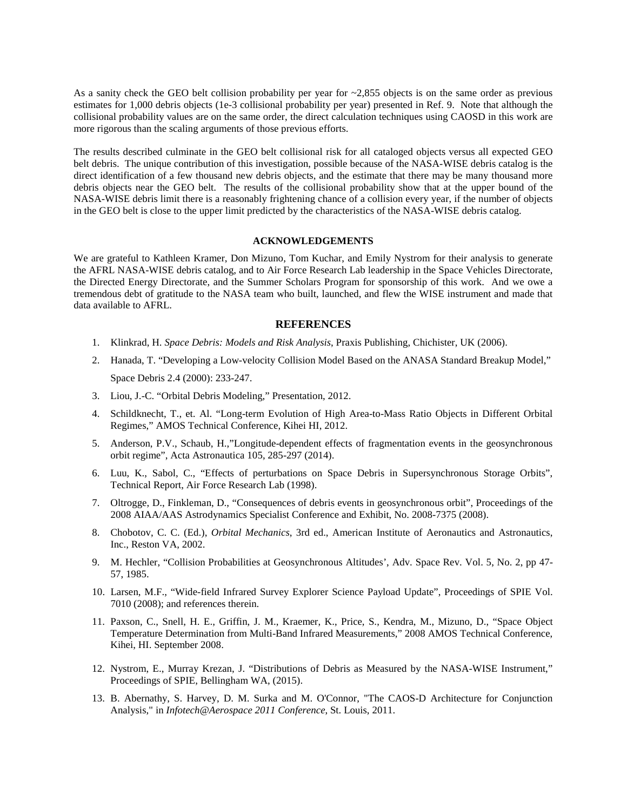As a sanity check the GEO belt collision probability per year for ~2,855 objects is on the same order as previous estimates for 1,000 debris objects (1e-3 collisional probability per year) presented in Ref. 9. Note that although the collisional probability values are on the same order, the direct calculation techniques using CAOSD in this work are more rigorous than the scaling arguments of those previous efforts.

The results described culminate in the GEO belt collisional risk for all cataloged objects versus all expected GEO belt debris. The unique contribution of this investigation, possible because of the NASA-WISE debris catalog is the direct identification of a few thousand new debris objects, and the estimate that there may be many thousand more debris objects near the GEO belt. The results of the collisional probability show that at the upper bound of the NASA-WISE debris limit there is a reasonably frightening chance of a collision every year, if the number of objects in the GEO belt is close to the upper limit predicted by the characteristics of the NASA-WISE debris catalog.

#### **ACKNOWLEDGEMENTS**

We are grateful to Kathleen Kramer, Don Mizuno, Tom Kuchar, and Emily Nystrom for their analysis to generate the AFRL NASA-WISE debris catalog, and to Air Force Research Lab leadership in the Space Vehicles Directorate, the Directed Energy Directorate, and the Summer Scholars Program for sponsorship of this work. And we owe a tremendous debt of gratitude to the NASA team who built, launched, and flew the WISE instrument and made that data available to AFRL.

#### **REFERENCES**

- 1. Klinkrad, H. *Space Debris: Models and Risk Analysis*, Praxis Publishing, Chichister, UK (2006).
- 2. Hanada, T. "Developing a Low-velocity Collision Model Based on the ANASA Standard Breakup Model," Space Debris 2.4 (2000): 233-247.
- 3. Liou, J.-C. "Orbital Debris Modeling," Presentation, 2012.
- 4. Schildknecht, T., et. Al. "Long-term Evolution of High Area-to-Mass Ratio Objects in Different Orbital Regimes," AMOS Technical Conference, Kihei HI, 2012.
- 5. Anderson, P.V., Schaub, H.,"Longitude-dependent effects of fragmentation events in the geosynchronous orbit regime", Acta Astronautica 105, 285-297 (2014).
- 6. Luu, K., Sabol, C., "Effects of perturbations on Space Debris in Supersynchronous Storage Orbits", Technical Report, Air Force Research Lab (1998).
- 7. Oltrogge, D., Finkleman, D., "Consequences of debris events in geosynchronous orbit", Proceedings of the 2008 AIAA/AAS Astrodynamics Specialist Conference and Exhibit, No. 2008-7375 (2008).
- 8. Chobotov, C. C. (Ed.), *Orbital Mechanics*, 3rd ed., American Institute of Aeronautics and Astronautics, Inc., Reston VA, 2002.
- 9. M. Hechler, "Collision Probabilities at Geosynchronous Altitudes', Adv. Space Rev. Vol. 5, No. 2, pp 47- 57, 1985.
- 10. Larsen, M.F., "Wide-field Infrared Survey Explorer Science Payload Update", Proceedings of SPIE Vol. 7010 (2008); and references therein.
- 11. Paxson, C., Snell, H. E., Griffin, J. M., Kraemer, K., Price, S., Kendra, M., Mizuno, D., "Space Object Temperature Determination from Multi-Band Infrared Measurements," 2008 AMOS Technical Conference, Kihei, HI. September 2008.
- 12. Nystrom, E., Murray Krezan, J. "Distributions of Debris as Measured by the NASA-WISE Instrument," Proceedings of SPIE, Bellingham WA, (2015).
- 13. B. Abernathy, S. Harvey, D. M. Surka and M. O'Connor, "The CAOS-D Architecture for Conjunction Analysis," in *Infotech@Aerospace 2011 Conference*, St. Louis, 2011.